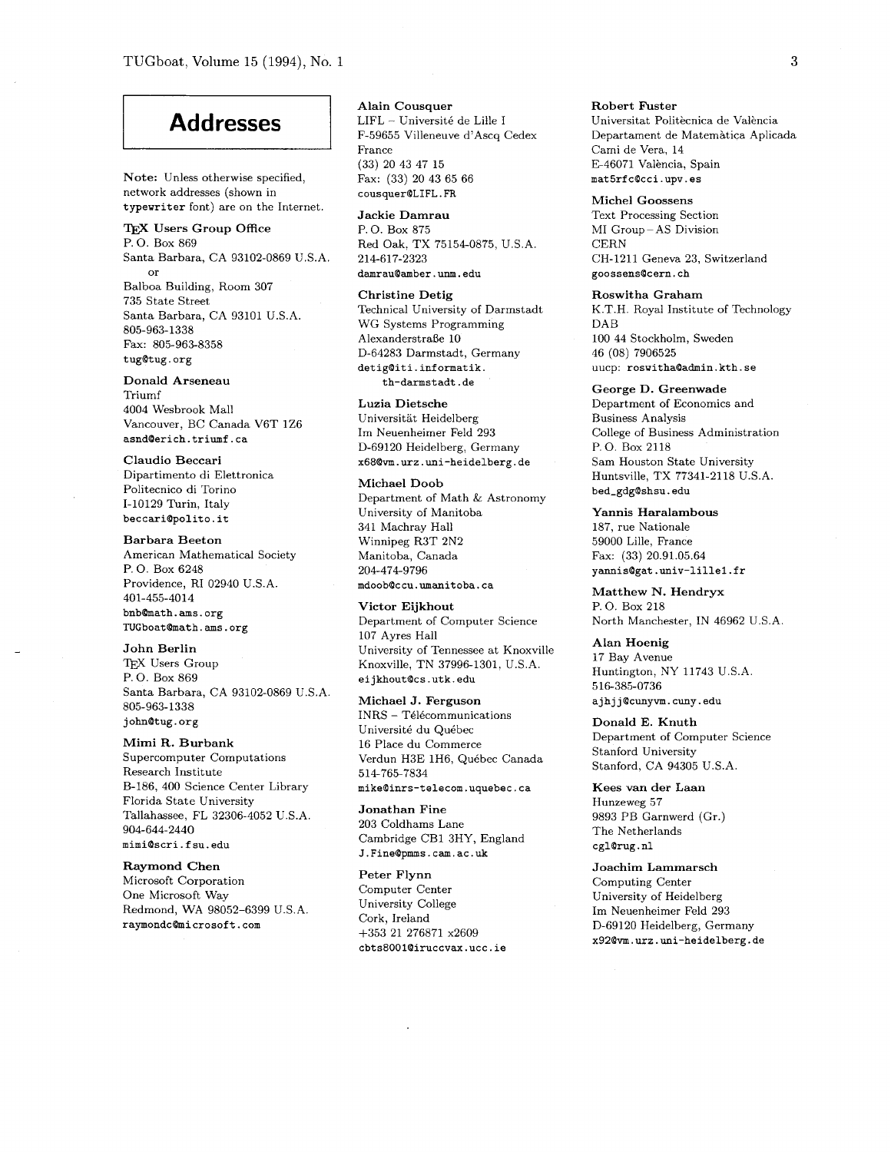# **Addresses**

**Note:** Unless otherwise specified, network addresses (shown in typewriter font) are on the Internet.

TEX **Users Group Office**  P. 0. Box 869 Santa Barbara, CA 93102-0869 U.S.A. or Balboa Building, Room 307 735 State Street Santa Barbara, CA 93101 U.S.A. 805-963-1338 Fax: 805-963-8358 tugQtug.org

#### **Donald Arseneau**  Triumf 4004 Wesbrook Mall Vancouver, BC Canada V6T 1Z6

asnd0erich.triumf.ca **Claudio Beccari** 

Dipartimento di Elettronica Politecnico di Torino 1-10129 Turin, Italy beccariQpolito.it

**Barbara Beeton**  American Mathematical Society P. 0. Box 6248 Providence, RI 02940 U.S.A. 401-455-4014  $b$ nb**Q**math.ams.org TUGboat@math.ams.org

**John Berlin**  TEX Users Group P. 0. Box 869 Santa Barbara, CA 93102-0869 U.S.A. 805-963-1 338 johnQtug.org

## **Mimi R. Burbank**

Supercomputer Computations Research Institute B-186, 400 Science Center Library Florida State University Tallahassee, FL 32306-4052 U.S.A. 904-644-2440 mimiQscri.fsu.edu

**Raymond Chen** 

Microsoft Corporation One Microsoft Way Redmond, WA 98052-6399 U.S.A raymondc@microsoft.com

**Alain Cousquer**   $\text{LIFL}$  – Université de Lille I F-59655 Villeneuve d'Ascq Cedex France (33) 20 43 47 15 Fax: (33) 20 43 65 66 cousquerQLIFL.FR

**Jackie Damrau**  P. 0. Box 875 Red Oak, TX 75154-0875, U.S.A. 214-617-2323 damrau@amber.unm.edu

**Christine Detig**  Technical University of Darmstadt WG Systems Programming AlexanderstraBe 10 D-64283 Darmstadt, Germany detigQiti.informatik. th-darmstadt.de

**Luzia Dietsche**  Universitat Heidelberg Im Neuenheimer Feld 293 D-69120 Heidelberg, Germany **x68Qvm.urz.uni-heidelberg.de** 

**Michael Doob**  Department of Math & Astronomy University of Manitoba 341 Machray Hall Winnipeg R3T 2N2 Manitoba, Canada 204-474-9796 mdoobQccu.umanitoba.ca

**Victor Eijkhout**  Department of Computer Science 107 Ayres Hall University of Tennessee at Knoxville Knoxville, TN 37996-1301, U.S.A. eijkhoutQcs.utk.edu

**Michael J. Ferguson**   $INRS - Télécommunication$ Universite du Qu6bec 16 Place du Commerce Verdun H3E 1H6, Quebec Canada 514-765-7834 mike@inrs-telecom.uquebec.ca

**Jonathan Fine**  203 Coldhams Lane Cambridge CB1 3HY, England J.FineQpmms.cam.ac.uk

**Peter Flynn**  Computer Center University College Cork, Ireland +353 21 276871 x2609 **cbts8001Qiruccvax.ucc.ie**  **Robert Fuster**  Universitat Politècnica de València Departarnent de Matemhtica Aplicada Cami de Vera, 14 E-46071 València, Spain mat5rfc@cci.upv.es

**Michel Goossens**  Text Processing Section MI Group- AS Division **CERN** CH-1211 Geneva 23, Switzerland goossens@cern.ch

**Roswitha Graham**  K.T.H. Royal Institute of Technology DAB 100 44 Stockholm, Sweden 46 (08) 7906525 uucp: roswithaQadmin.kth.se

**George D. Greenwade**  Department of Economics and Business Analysis College of Business Administration P. 0. Box 2118 Sam Houston State University Huntsville, TX 77341-2118 U.S.A. bed\_gdg@shsu.edu

**Yannis Haralambous**  187, rue Nationale 59000 Lille, France Fax: (33) 20.91.05.64 **yannisQgat.univ-lillel.fr** 

**Matthew N. Hendryx P.** 0. **Box** 218 North Manchester, IN 46962 U.S.A.

**Alan Hoenig**  17 Bay Avenue Huntington, NY 11743 U.S.A. 516-385-0736 ajhj jQcunyvm. cuny.edu

**Donald E. Knuth**  Department of Computer Science Stanford University Stanford, CA 94305 U.S.A.

**Kees van der Laan**  Hunzeweg 57 9893 PB Garnwerd (Gr.) The Netherlands cgl@rug.nl

**Joachim Lammarsch**  Computing Center University of Heidelberg Im Neuenheimer Feld 293 D-69120 Heidelberg, Germany **x92Qvm.urz.uni-heidelberg.de**